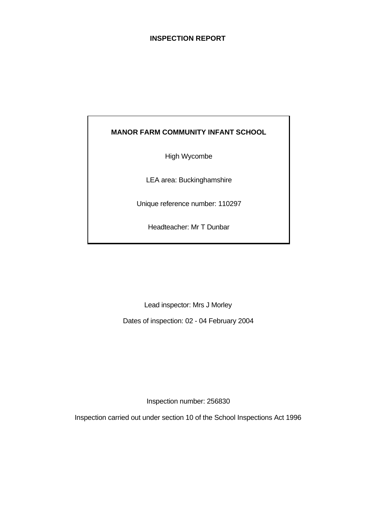# **INSPECTION REPORT**

# **MANOR FARM COMMUNITY INFANT SCHOOL**

High Wycombe

LEA area: Buckinghamshire

Unique reference number: 110297

Headteacher: Mr T Dunbar

Lead inspector: Mrs J Morley

Dates of inspection: 02 - 04 February 2004

Inspection number: 256830

Inspection carried out under section 10 of the School Inspections Act 1996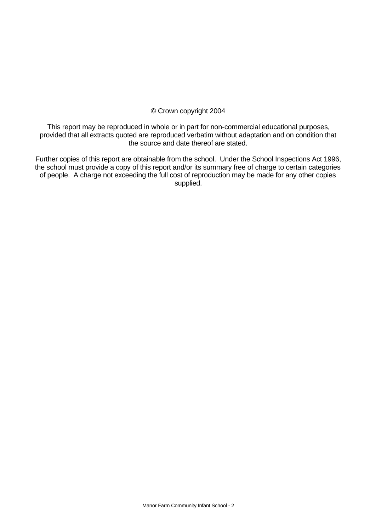### © Crown copyright 2004

This report may be reproduced in whole or in part for non-commercial educational purposes, provided that all extracts quoted are reproduced verbatim without adaptation and on condition that the source and date thereof are stated.

Further copies of this report are obtainable from the school. Under the School Inspections Act 1996, the school must provide a copy of this report and/or its summary free of charge to certain categories of people. A charge not exceeding the full cost of reproduction may be made for any other copies supplied.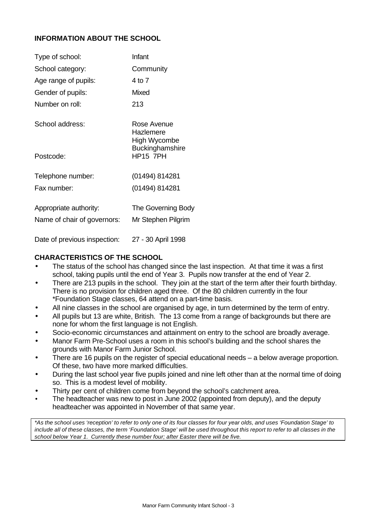# **INFORMATION ABOUT THE SCHOOL**

| Type of school:              | Infant                                   |
|------------------------------|------------------------------------------|
| School category:             | Community                                |
| Age range of pupils:         | 4 to 7                                   |
| Gender of pupils:            | <b>Mixed</b>                             |
| Number on roll:              | 213                                      |
| School address:              | Rose Avenue<br>Hazlemere<br>High Wycombe |
| Postcode:                    | Buckinghamshire<br><b>HP15 7PH</b>       |
| Telephone number:            | (01494) 814281                           |
| Fax number:                  | (01494) 814281                           |
| Appropriate authority:       | The Governing Body                       |
| Name of chair of governors:  | Mr Stephen Pilgrim                       |
| Date of previous inspection: | 27 - 30 April 1998                       |

#### **CHARACTERISTICS OF THE SCHOOL**

- The status of the school has changed since the last inspection. At that time it was a first school, taking pupils until the end of Year 3. Pupils now transfer at the end of Year 2.
- There are 213 pupils in the school. They join at the start of the term after their fourth birthday. There is no provision for children aged three. Of the 80 children currently in the four \*Foundation Stage classes, 64 attend on a part-time basis.
- All nine classes in the school are organised by age, in turn determined by the term of entry.
- All pupils but 13 are white, British. The 13 come from a range of backgrounds but there are none for whom the first language is not English.
- Socio-economic circumstances and attainment on entry to the school are broadly average.
- Manor Farm Pre-School uses a room in this school's building and the school shares the grounds with Manor Farm Junior School.
- There are 16 pupils on the register of special educational needs  $-$  a below average proportion. Of these, two have more marked difficulties.
- During the last school year five pupils joined and nine left other than at the normal time of doing so. This is a modest level of mobility.
- Thirty per cent of children come from beyond the school's catchment area.
- The headteacher was new to post in June 2002 (appointed from deputy), and the deputy headteacher was appointed in November of that same year.

*\*As the school uses 'reception' to refer to only one of its four classes for four year olds, and uses 'Foundation Stage' to include all of these classes, the term 'Foundation Stage' will be used throughout this report to refer to all classes in the school below Year 1. Currently these number four; after Easter there will be five.*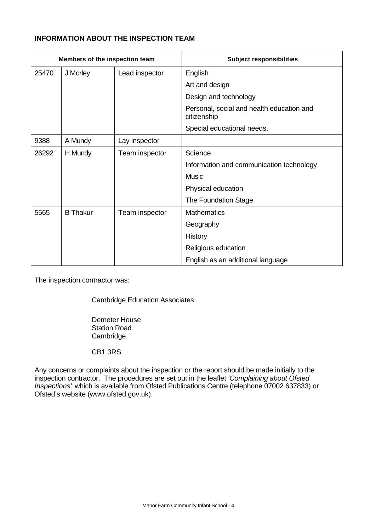# **INFORMATION ABOUT THE INSPECTION TEAM**

| Members of the inspection team |                 |                | <b>Subject responsibilities</b>                          |
|--------------------------------|-----------------|----------------|----------------------------------------------------------|
| 25470                          | J Morley        | Lead inspector | English                                                  |
|                                |                 |                | Art and design                                           |
|                                |                 |                | Design and technology                                    |
|                                |                 |                | Personal, social and health education and<br>citizenship |
|                                |                 |                | Special educational needs.                               |
| 9388                           | A Mundy         | Lay inspector  |                                                          |
| 26292                          | H Mundy         | Team inspector | Science                                                  |
|                                |                 |                | Information and communication technology                 |
|                                |                 |                | Music                                                    |
|                                |                 |                | Physical education                                       |
|                                |                 |                | The Foundation Stage                                     |
| 5565                           | <b>B</b> Thakur | Team inspector | <b>Mathematics</b>                                       |
|                                |                 |                | Geography                                                |
|                                |                 |                | History                                                  |
|                                |                 |                | Religious education                                      |
|                                |                 |                | English as an additional language                        |

The inspection contractor was:

Cambridge Education Associates

Demeter House Station Road **Cambridge** 

CB1 3RS

Any concerns or complaints about the inspection or the report should be made initially to the inspection contractor. The procedures are set out in the leaflet *'Complaining about Ofsted Inspections'*, which is available from Ofsted Publications Centre (telephone 07002 637833) or Ofsted's website (www.ofsted.gov.uk).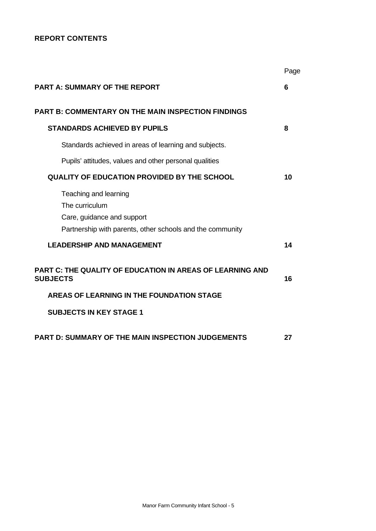# **REPORT CONTENTS**

|                                                                                                                                    | Page |
|------------------------------------------------------------------------------------------------------------------------------------|------|
| <b>PART A: SUMMARY OF THE REPORT</b>                                                                                               | 6    |
| <b>PART B: COMMENTARY ON THE MAIN INSPECTION FINDINGS</b>                                                                          |      |
| <b>STANDARDS ACHIEVED BY PUPILS</b>                                                                                                | 8    |
| Standards achieved in areas of learning and subjects.                                                                              |      |
| Pupils' attitudes, values and other personal qualities                                                                             |      |
| <b>QUALITY OF EDUCATION PROVIDED BY THE SCHOOL</b>                                                                                 | 10   |
| Teaching and learning<br>The curriculum<br>Care, guidance and support<br>Partnership with parents, other schools and the community |      |
| <b>LEADERSHIP AND MANAGEMENT</b>                                                                                                   | 14   |
| <b>PART C: THE QUALITY OF EDUCATION IN AREAS OF LEARNING AND</b><br><b>SUBJECTS</b>                                                | 16   |
| AREAS OF LEARNING IN THE FOUNDATION STAGE                                                                                          |      |
| <b>SUBJECTS IN KEY STAGE 1</b>                                                                                                     |      |
| <b>PART D: SUMMARY OF THE MAIN INSPECTION JUDGEMENTS</b>                                                                           | 27   |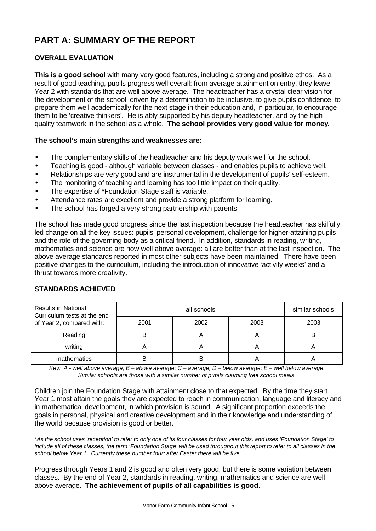# **PART A: SUMMARY OF THE REPORT**

# **OVERALL EVALUATION**

**This is a good school** with many very good features, including a strong and positive ethos. As a result of good teaching, pupils progress well overall: from average attainment on entry, they leave Year 2 with standards that are well above average. The headteacher has a crystal clear vision for the development of the school, driven by a determination to be inclusive, to give pupils confidence, to prepare them well academically for the next stage in their education and, in particular, to encourage them to be 'creative thinkers'. He is ably supported by his deputy headteacher, and by the high quality teamwork in the school as a whole. **The school provides very good value for money**.

# **The school's main strengths and weaknesses are:**

- The complementary skills of the headteacher and his deputy work well for the school.
- Teaching is good although variable between classes and enables pupils to achieve well.
- Relationships are very good and are instrumental in the development of pupils' self-esteem.
- The monitoring of teaching and learning has too little impact on their quality.
- The expertise of \*Foundation Stage staff is variable.
- Attendance rates are excellent and provide a strong platform for learning.
- The school has forged a very strong partnership with parents.

The school has made good progress since the last inspection because the headteacher has skilfully led change on all the key issues: pupils' personal development, challenge for higher-attaining pupils and the role of the governing body as a critical friend. In addition, standards in reading, writing, mathematics and science are now well above average: all are better than at the last inspection. The above average standards reported in most other subjects have been maintained. There have been positive changes to the curriculum, including the introduction of innovative 'activity weeks' and a thrust towards more creativity.

| <b>Results in National</b><br>Curriculum tests at the end |      | similar schools |      |      |
|-----------------------------------------------------------|------|-----------------|------|------|
| of Year 2, compared with:                                 | 2001 | 2002            | 2003 | 2003 |
| Reading                                                   |      |                 |      |      |
| writing                                                   |      |                 |      |      |
| mathematics                                               |      |                 |      |      |

# **STANDARDS ACHIEVED**

*Key: A - well above average; B – above average; C – average; D – below average; E – well below average. Similar schools are those with a similar number of pupils claiming free school meals.*

Children join the Foundation Stage with attainment close to that expected. By the time they start Year 1 most attain the goals they are expected to reach in communication, language and literacy and in mathematical development, in which provision is sound. A significant proportion exceeds the goals in personal, physical and creative development and in their knowledge and understanding of the world because provision is good or better.

*\*As the school uses 'reception' to refer to only one of its four classes for four year olds, and uses 'Foundation Stage' to include all of these classes, the term 'Foundation Stage' will be used throughout this report to refer to all classes in the school below Year 1. Currently these number four; after Easter there will be five.*

Progress through Years 1 and 2 is good and often very good, but there is some variation between classes. By the end of Year 2, standards in reading, writing, mathematics and science are well above average. **The achievement of pupils of all capabilities is good**.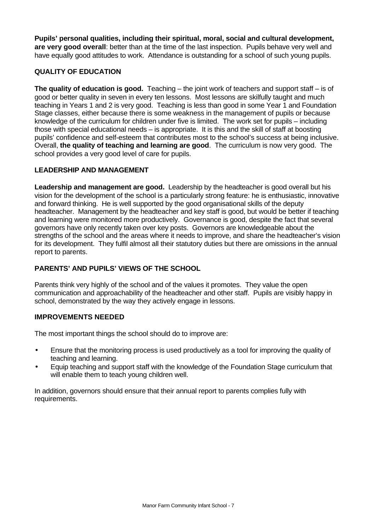**Pupils' personal qualities, including their spiritual, moral, social and cultural development, are very good overall**: better than at the time of the last inspection. Pupils behave very well and have equally good attitudes to work. Attendance is outstanding for a school of such young pupils.

# **QUALITY OF EDUCATION**

**The quality of education is good.** Teaching – the joint work of teachers and support staff – is of good or better quality in seven in every ten lessons. Most lessons are skilfully taught and much teaching in Years 1 and 2 is very good. Teaching is less than good in some Year 1 and Foundation Stage classes, either because there is some weakness in the management of pupils or because knowledge of the curriculum for children under five is limited. The work set for pupils – including those with special educational needs – is appropriate. It is this and the skill of staff at boosting pupils' confidence and self-esteem that contributes most to the school's success at being inclusive. Overall, **the quality of teaching and learning are good**. The curriculum is now very good. The school provides a very good level of care for pupils.

# **LEADERSHIP AND MANAGEMENT**

**Leadership and management are good.** Leadership by the headteacher is good overall but his vision for the development of the school is a particularly strong feature: he is enthusiastic, innovative and forward thinking. He is well supported by the good organisational skills of the deputy headteacher. Management by the headteacher and key staff is good, but would be better if teaching and learning were monitored more productively. Governance is good, despite the fact that several governors have only recently taken over key posts. Governors are knowledgeable about the strengths of the school and the areas where it needs to improve, and share the headteacher's vision for its development. They fulfil almost all their statutory duties but there are omissions in the annual report to parents.

# **PARENTS' AND PUPILS' VIEWS OF THE SCHOOL**

Parents think very highly of the school and of the values it promotes. They value the open communication and approachability of the headteacher and other staff. Pupils are visibly happy in school, demonstrated by the way they actively engage in lessons.

# **IMPROVEMENTS NEEDED**

The most important things the school should do to improve are:

- Ensure that the monitoring process is used productively as a tool for improving the quality of teaching and learning.
- Equip teaching and support staff with the knowledge of the Foundation Stage curriculum that will enable them to teach young children well.

In addition, governors should ensure that their annual report to parents complies fully with requirements.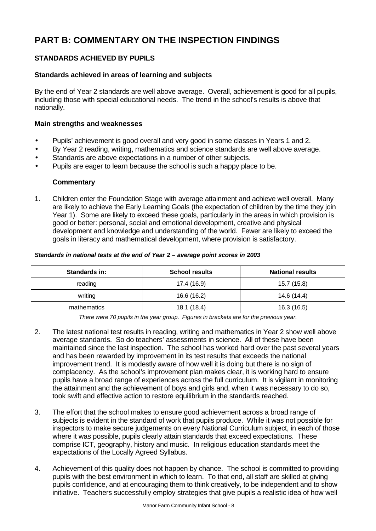# **PART B: COMMENTARY ON THE INSPECTION FINDINGS**

# **STANDARDS ACHIEVED BY PUPILS**

# **Standards achieved in areas of learning and subjects**

By the end of Year 2 standards are well above average. Overall, achievement is good for all pupils, including those with special educational needs. The trend in the school's results is above that nationally.

# **Main strengths and weaknesses**

- Pupils' achievement is good overall and very good in some classes in Years 1 and 2.
- By Year 2 reading, writing, mathematics and science standards are well above average.
- Standards are above expectations in a number of other subjects.
- Pupils are eager to learn because the school is such a happy place to be.

# **Commentary**

1. Children enter the Foundation Stage with average attainment and achieve well overall. Many are likely to achieve the Early Learning Goals (the expectation of children by the time they join Year 1). Some are likely to exceed these goals, particularly in the areas in which provision is good or better: personal, social and emotional development, creative and physical development and knowledge and understanding of the world. Fewer are likely to exceed the goals in literacy and mathematical development, where provision is satisfactory.

#### *Standards in national tests at the end of Year 2 – average point scores in 2003*

| <b>Standards in:</b> | <b>School results</b> | <b>National results</b> |
|----------------------|-----------------------|-------------------------|
| reading              | 17.4 (16.9)           | 15.7 (15.8)             |
| writing              | 16.6 (16.2)           | 14.6 (14.4)             |
| mathematics          | 18.1 (18.4)           | 16.3 (16.5)             |

*There were 70 pupils in the year group. Figures in brackets are for the previous year.*

- 2. The latest national test results in reading, writing and mathematics in Year 2 show well above average standards. So do teachers' assessments in science. All of these have been maintained since the last inspection. The school has worked hard over the past several years and has been rewarded by improvement in its test results that exceeds the national improvement trend. It is modestly aware of how well it is doing but there is no sign of complacency. As the school's improvement plan makes clear, it is working hard to ensure pupils have a broad range of experiences across the full curriculum. It is vigilant in monitoring the attainment and the achievement of boys and girls and, when it was necessary to do so, took swift and effective action to restore equilibrium in the standards reached.
- 3. The effort that the school makes to ensure good achievement across a broad range of subjects is evident in the standard of work that pupils produce. While it was not possible for inspectors to make secure judgements on every National Curriculum subject, in each of those where it was possible, pupils clearly attain standards that exceed expectations. These comprise ICT, geography, history and music. In religious education standards meet the expectations of the Locally Agreed Syllabus.
- 4. Achievement of this quality does not happen by chance. The school is committed to providing pupils with the best environment in which to learn. To that end, all staff are skilled at giving pupils confidence, and at encouraging them to think creatively, to be independent and to show initiative. Teachers successfully employ strategies that give pupils a realistic idea of how well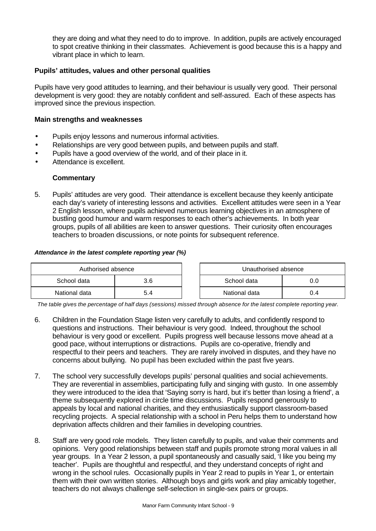they are doing and what they need to do to improve. In addition, pupils are actively encouraged to spot creative thinking in their classmates. Achievement is good because this is a happy and vibrant place in which to learn.

# **Pupils' attitudes, values and other personal qualities**

Pupils have very good attitudes to learning, and their behaviour is usually very good. Their personal development is very good: they are notably confident and self-assured. Each of these aspects has improved since the previous inspection.

#### **Main strengths and weaknesses**

- Pupils enjoy lessons and numerous informal activities.
- Relationships are very good between pupils, and between pupils and staff.
- Pupils have a good overview of the world, and of their place in it.
- Attendance is excellent.

#### **Commentary**

5. Pupils' attitudes are very good. Their attendance is excellent because they keenly anticipate each day's variety of interesting lessons and activities. Excellent attitudes were seen in a Year 2 English lesson, where pupils achieved numerous learning objectives in an atmosphere of bustling good humour and warm responses to each other's achievements. In both year groups, pupils of all abilities are keen to answer questions. Their curiosity often encourages teachers to broaden discussions, or note points for subsequent reference.

#### *Attendance in the latest complete reporting year (%)*

| Authorised absence |  |  | Unauthorised absence |     |
|--------------------|--|--|----------------------|-----|
| School data<br>3.6 |  |  | School data          |     |
| National data      |  |  | National data        | 0.4 |

*The table gives the percentage of half days (sessions) missed through absence for the latest complete reporting year.*

- 6. Children in the Foundation Stage listen very carefully to adults, and confidently respond to questions and instructions. Their behaviour is very good. Indeed, throughout the school behaviour is very good or excellent. Pupils progress well because lessons move ahead at a good pace, without interruptions or distractions. Pupils are co-operative, friendly and respectful to their peers and teachers. They are rarely involved in disputes, and they have no concerns about bullying. No pupil has been excluded within the past five years.
- 7. The school very successfully develops pupils' personal qualities and social achievements. They are reverential in assemblies, participating fully and singing with gusto. In one assembly they were introduced to the idea that 'Saying sorry is hard, but it's better than losing a friend', a theme subsequently explored in circle time discussions. Pupils respond generously to appeals by local and national charities, and they enthusiastically support classroom-based recycling projects. A special relationship with a school in Peru helps them to understand how deprivation affects children and their families in developing countries.
- 8. Staff are very good role models. They listen carefully to pupils, and value their comments and opinions. Very good relationships between staff and pupils promote strong moral values in all year groups. In a Year 2 lesson, a pupil spontaneously and casually said, 'I like you being my teacher'. Pupils are thoughtful and respectful, and they understand concepts of right and wrong in the school rules. Occasionally pupils in Year 2 read to pupils in Year 1, or entertain them with their own written stories. Although boys and girls work and play amicably together, teachers do not always challenge self-selection in single-sex pairs or groups.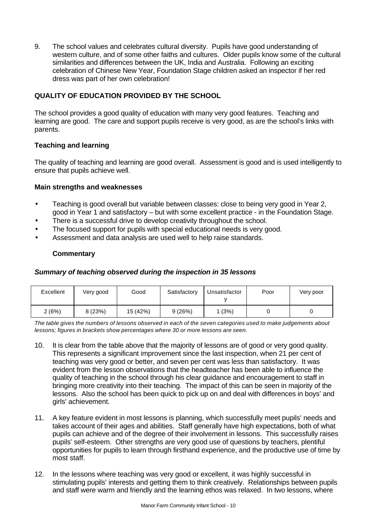9. The school values and celebrates cultural diversity. Pupils have good understanding of western culture, and of some other faiths and cultures. Older pupils know some of the cultural similarities and differences between the UK, India and Australia. Following an exciting celebration of Chinese New Year, Foundation Stage children asked an inspector if her red dress was part of her own celebration!

# **QUALITY OF EDUCATION PROVIDED BY THE SCHOOL**

The school provides a good quality of education with many very good features. Teaching and learning are good. The care and support pupils receive is very good, as are the school's links with parents.

# **Teaching and learning**

The quality of teaching and learning are good overall. Assessment is good and is used intelligently to ensure that pupils achieve well.

# **Main strengths and weaknesses**

- Teaching is good overall but variable between classes: close to being very good in Year 2, good in Year 1 and satisfactory – but with some excellent practice - in the Foundation Stage.
- There is a successful drive to develop creativity throughout the school.
- The focused support for pupils with special educational needs is very good.
- Assessment and data analysis are used well to help raise standards.

# **Commentary**

# *Summary of teaching observed during the inspection in 35 lessons*

| Excellent | Very good | Good     | Satisfactory | Unsatisfactor | Poor | Very poor |
|-----------|-----------|----------|--------------|---------------|------|-----------|
| 2 (6%)    | 8 (23%)   | 15 (42%) | 9(26%)       | (3%)          |      |           |

*The table gives the numbers of lessons observed in each of the seven categories used to make judgements about lessons; figures in brackets show percentages where 30 or more lessons are seen.*

- 10. It is clear from the table above that the majority of lessons are of good or very good quality. This represents a significant improvement since the last inspection, when 21 per cent of teaching was very good or better, and seven per cent was less than satisfactory. It was evident from the lesson observations that the headteacher has been able to influence the quality of teaching in the school through his clear guidance and encouragement to staff in bringing more creativity into their teaching. The impact of this can be seen in majority of the lessons. Also the school has been quick to pick up on and deal with differences in boys' and girls' achievement.
- 11. A key feature evident in most lessons is planning, which successfully meet pupils' needs and takes account of their ages and abilities. Staff generally have high expectations, both of what pupils can achieve and of the degree of their involvement in lessons. This successfully raises pupils' self-esteem. Other strengths are very good use of questions by teachers, plentiful opportunities for pupils to learn through firsthand experience, and the productive use of time by most staff.
- 12. In the lessons where teaching was very good or excellent, it was highly successful in stimulating pupils' interests and getting them to think creatively. Relationships between pupils and staff were warm and friendly and the learning ethos was relaxed. In two lessons, where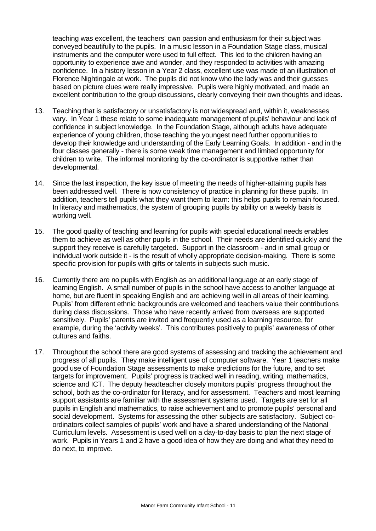teaching was excellent, the teachers' own passion and enthusiasm for their subject was conveyed beautifully to the pupils. In a music lesson in a Foundation Stage class, musical instruments and the computer were used to full effect. This led to the children having an opportunity to experience awe and wonder, and they responded to activities with amazing confidence. In a history lesson in a Year 2 class, excellent use was made of an illustration of Florence Nightingale at work. The pupils did not know who the lady was and their guesses based on picture clues were really impressive. Pupils were highly motivated, and made an excellent contribution to the group discussions, clearly conveying their own thoughts and ideas.

- 13. Teaching that is satisfactory or unsatisfactory is not widespread and, within it, weaknesses vary. In Year 1 these relate to some inadequate management of pupils' behaviour and lack of confidence in subject knowledge. In the Foundation Stage, although adults have adequate experience of young children, those teaching the youngest need further opportunities to develop their knowledge and understanding of the Early Learning Goals. In addition - and in the four classes generally - there is some weak time management and limited opportunity for children to write. The informal monitoring by the co-ordinator is supportive rather than developmental.
- 14. Since the last inspection, the key issue of meeting the needs of higher-attaining pupils has been addressed well. There is now consistency of practice in planning for these pupils. In addition, teachers tell pupils what they want them to learn: this helps pupils to remain focused. In literacy and mathematics, the system of grouping pupils by ability on a weekly basis is working well.
- 15. The good quality of teaching and learning for pupils with special educational needs enables them to achieve as well as other pupils in the school. Their needs are identified quickly and the support they receive is carefully targeted. Support in the classroom - and in small group or individual work outside it - is the result of wholly appropriate decision-making. There is some specific provision for pupils with gifts or talents in subjects such music.
- 16. Currently there are no pupils with English as an additional language at an early stage of learning English. A small number of pupils in the school have access to another language at home, but are fluent in speaking English and are achieving well in all areas of their learning. Pupils' from different ethnic backgrounds are welcomed and teachers value their contributions during class discussions. Those who have recently arrived from overseas are supported sensitively. Pupils' parents are invited and frequently used as a learning resource, for example, during the 'activity weeks'. This contributes positively to pupils' awareness of other cultures and faiths.
- 17. Throughout the school there are good systems of assessing and tracking the achievement and progress of all pupils. They make intelligent use of computer software. Year 1 teachers make good use of Foundation Stage assessments to make predictions for the future, and to set targets for improvement. Pupils' progress is tracked well in reading, writing, mathematics, science and ICT. The deputy headteacher closely monitors pupils' progress throughout the school, both as the co-ordinator for literacy, and for assessment. Teachers and most learning support assistants are familiar with the assessment systems used. Targets are set for all pupils in English and mathematics, to raise achievement and to promote pupils' personal and social development. Systems for assessing the other subjects are satisfactory. Subject coordinators collect samples of pupils' work and have a shared understanding of the National Curriculum levels. Assessment is used well on a day-to-day basis to plan the next stage of work. Pupils in Years 1 and 2 have a good idea of how they are doing and what they need to do next, to improve.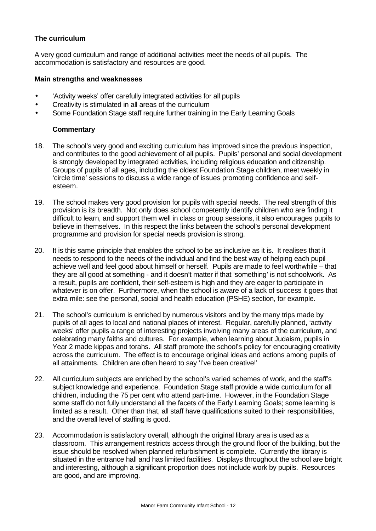# **The curriculum**

A very good curriculum and range of additional activities meet the needs of all pupils. The accommodation is satisfactory and resources are good.

#### **Main strengths and weaknesses**

- 'Activity weeks' offer carefully integrated activities for all pupils
- Creativity is stimulated in all areas of the curriculum
- Some Foundation Stage staff require further training in the Early Learning Goals

# **Commentary**

- 18. The school's very good and exciting curriculum has improved since the previous inspection, and contributes to the good achievement of all pupils. Pupils' personal and social development is strongly developed by integrated activities, including religious education and citizenship. Groups of pupils of all ages, including the oldest Foundation Stage children, meet weekly in 'circle time' sessions to discuss a wide range of issues promoting confidence and selfesteem.
- 19. The school makes very good provision for pupils with special needs. The real strength of this provision is its breadth. Not only does school competently identify children who are finding it difficult to learn, and support them well in class or group sessions, it also encourages pupils to believe in themselves. In this respect the links between the school's personal development programme and provision for special needs provision is strong.
- 20. It is this same principle that enables the school to be as inclusive as it is. It realises that it needs to respond to the needs of the individual and find the best way of helping each pupil achieve well and feel good about himself or herself. Pupils are made to feel worthwhile – that they are all good at something - and it doesn't matter if that 'something' is not schoolwork. As a result, pupils are confident, their self-esteem is high and they are eager to participate in whatever is on offer. Furthermore, when the school is aware of a lack of success it goes that extra mile: see the personal, social and health education (PSHE) section, for example.
- 21. The school's curriculum is enriched by numerous visitors and by the many trips made by pupils of all ages to local and national places of interest. Regular, carefully planned, 'activity weeks' offer pupils a range of interesting projects involving many areas of the curriculum, and celebrating many faiths and cultures. For example, when learning about Judaism, pupils in Year 2 made kippas and torahs. All staff promote the school's policy for encouraging creativity across the curriculum. The effect is to encourage original ideas and actions among pupils of all attainments. Children are often heard to say 'I've been creative!'
- 22. All curriculum subjects are enriched by the school's varied schemes of work, and the staff's subject knowledge and experience. Foundation Stage staff provide a wide curriculum for all children, including the 75 per cent who attend part-time. However, in the Foundation Stage some staff do not fully understand all the facets of the Early Learning Goals; some learning is limited as a result. Other than that, all staff have qualifications suited to their responsibilities, and the overall level of staffing is good.
- 23. Accommodation is satisfactory overall, although the original library area is used as a classroom. This arrangement restricts access through the ground floor of the building, but the issue should be resolved when planned refurbishment is complete. Currently the library is situated in the entrance hall and has limited facilities. Displays throughout the school are bright and interesting, although a significant proportion does not include work by pupils. Resources are good, and are improving.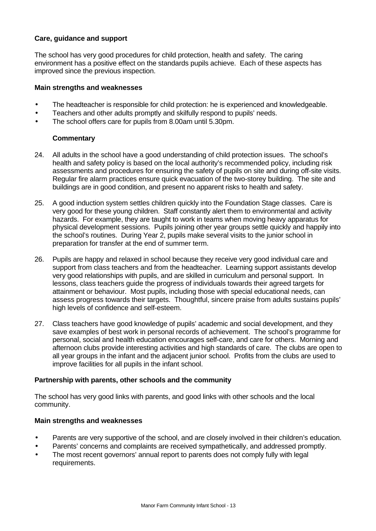# **Care, guidance and support**

The school has very good procedures for child protection, health and safety. The caring environment has a positive effect on the standards pupils achieve. Each of these aspects has improved since the previous inspection.

#### **Main strengths and weaknesses**

- The headteacher is responsible for child protection: he is experienced and knowledgeable.
- Teachers and other adults promptly and skilfully respond to pupils' needs.
- The school offers care for pupils from 8.00am until 5.30pm.

# **Commentary**

- 24. All adults in the school have a good understanding of child protection issues. The school's health and safety policy is based on the local authority's recommended policy, including risk assessments and procedures for ensuring the safety of pupils on site and during off-site visits. Regular fire alarm practices ensure quick evacuation of the two-storey building. The site and buildings are in good condition, and present no apparent risks to health and safety.
- 25. A good induction system settles children quickly into the Foundation Stage classes. Care is very good for these young children. Staff constantly alert them to environmental and activity hazards. For example, they are taught to work in teams when moving heavy apparatus for physical development sessions. Pupils joining other year groups settle quickly and happily into the school's routines. During Year 2, pupils make several visits to the junior school in preparation for transfer at the end of summer term.
- 26. Pupils are happy and relaxed in school because they receive very good individual care and support from class teachers and from the headteacher. Learning support assistants develop very good relationships with pupils, and are skilled in curriculum and personal support. In lessons, class teachers guide the progress of individuals towards their agreed targets for attainment or behaviour. Most pupils, including those with special educational needs, can assess progress towards their targets. Thoughtful, sincere praise from adults sustains pupils' high levels of confidence and self-esteem.
- 27. Class teachers have good knowledge of pupils' academic and social development, and they save examples of best work in personal records of achievement. The school's programme for personal, social and health education encourages self-care, and care for others. Morning and afternoon clubs provide interesting activities and high standards of care. The clubs are open to all year groups in the infant and the adjacent junior school. Profits from the clubs are used to improve facilities for all pupils in the infant school.

# **Partnership with parents, other schools and the community**

The school has very good links with parents, and good links with other schools and the local community.

#### **Main strengths and weaknesses**

- Parents are very supportive of the school, and are closely involved in their children's education.
- Parents' concerns and complaints are received sympathetically, and addressed promptly.
- The most recent governors' annual report to parents does not comply fully with legal requirements.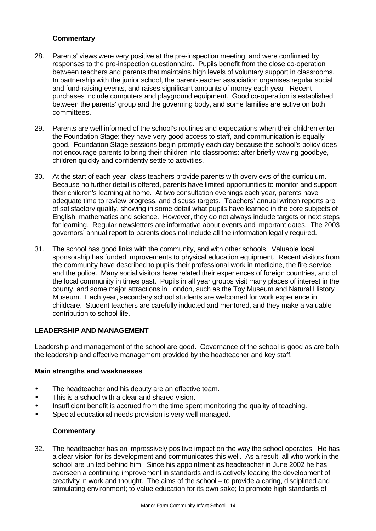# **Commentary**

- 28. Parents' views were very positive at the pre-inspection meeting, and were confirmed by responses to the pre-inspection questionnaire. Pupils benefit from the close co-operation between teachers and parents that maintains high levels of voluntary support in classrooms. In partnership with the junior school, the parent-teacher association organises regular social and fund-raising events, and raises significant amounts of money each year. Recent purchases include computers and playground equipment. Good co-operation is established between the parents' group and the governing body, and some families are active on both committees.
- 29. Parents are well informed of the school's routines and expectations when their children enter the Foundation Stage: they have very good access to staff, and communication is equally good. Foundation Stage sessions begin promptly each day because the school's policy does not encourage parents to bring their children into classrooms: after briefly waving goodbye, children quickly and confidently settle to activities.
- 30. At the start of each year, class teachers provide parents with overviews of the curriculum. Because no further detail is offered, parents have limited opportunities to monitor and support their children's learning at home. At two consultation evenings each year, parents have adequate time to review progress, and discuss targets. Teachers' annual written reports are of satisfactory quality, showing in some detail what pupils have learned in the core subjects of English, mathematics and science. However, they do not always include targets or next steps for learning. Regular newsletters are informative about events and important dates. The 2003 governors' annual report to parents does not include all the information legally required.
- 31. The school has good links with the community, and with other schools. Valuable local sponsorship has funded improvements to physical education equipment. Recent visitors from the community have described to pupils their professional work in medicine, the fire service and the police. Many social visitors have related their experiences of foreign countries, and of the local community in times past. Pupils in all year groups visit many places of interest in the county, and some major attractions in London, such as the Toy Museum and Natural History Museum. Each year, secondary school students are welcomed for work experience in childcare. Student teachers are carefully inducted and mentored, and they make a valuable contribution to school life.

# **LEADERSHIP AND MANAGEMENT**

Leadership and management of the school are good. Governance of the school is good as are both the leadership and effective management provided by the headteacher and key staff.

#### **Main strengths and weaknesses**

- The headteacher and his deputy are an effective team.
- This is a school with a clear and shared vision.
- Insufficient benefit is accrued from the time spent monitoring the quality of teaching.
- Special educational needs provision is very well managed.

# **Commentary**

32. The headteacher has an impressively positive impact on the way the school operates. He has a clear vision for its development and communicates this well. As a result, all who work in the school are united behind him. Since his appointment as headteacher in June 2002 he has overseen a continuing improvement in standards and is actively leading the development of creativity in work and thought. The aims of the school – to provide a caring, disciplined and stimulating environment; to value education for its own sake; to promote high standards of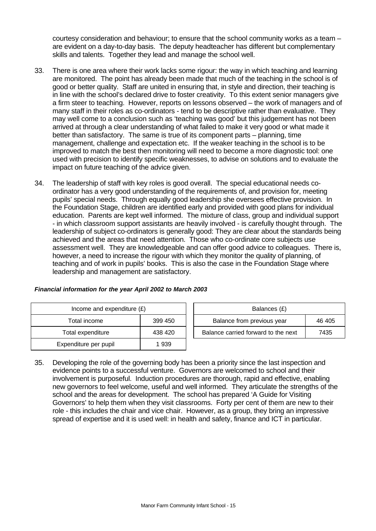courtesy consideration and behaviour; to ensure that the school community works as a team – are evident on a day-to-day basis. The deputy headteacher has different but complementary skills and talents. Together they lead and manage the school well.

- 33. There is one area where their work lacks some rigour: the way in which teaching and learning are monitored. The point has already been made that much of the teaching in the school is of good or better quality. Staff are united in ensuring that, in style and direction, their teaching is in line with the school's declared drive to foster creativity. To this extent senior managers give a firm steer to teaching. However, reports on lessons observed – the work of managers and of many staff in their roles as co-ordinators - tend to be descriptive rather than evaluative. They may well come to a conclusion such as 'teaching was good' but this judgement has not been arrived at through a clear understanding of what failed to make it very good or what made it better than satisfactory. The same is true of its component parts – planning, time management, challenge and expectation etc. If the weaker teaching in the school is to be improved to match the best then monitoring will need to become a more diagnostic tool: one used with precision to identify specific weaknesses, to advise on solutions and to evaluate the impact on future teaching of the advice given.
- 34. The leadership of staff with key roles is good overall. The special educational needs coordinator has a very good understanding of the requirements of, and provision for, meeting pupils' special needs. Through equally good leadership she oversees effective provision. In the Foundation Stage, children are identified early and provided with good plans for individual education. Parents are kept well informed. The mixture of class, group and individual support - in which classroom support assistants are heavily involved - is carefully thought through. The leadership of subject co-ordinators is generally good: They are clear about the standards being achieved and the areas that need attention. Those who co-ordinate core subjects use assessment well. They are knowledgeable and can offer good advice to colleagues. There is, however, a need to increase the rigour with which they monitor the quality of planning, of teaching and of work in pupils' books. This is also the case in the Foundation Stage where leadership and management are satisfactory.

| Income and expenditure $(E)$ |         |  | Balances (£)                   |
|------------------------------|---------|--|--------------------------------|
| 399 450<br>Total income      |         |  | Balance from previous year     |
| Total expenditure            | 438 420 |  | Balance carried forward to the |
| Expenditure per pupil        | 1939    |  |                                |

| Financial information for the year April 2002 to March 2003 |  |
|-------------------------------------------------------------|--|
|                                                             |  |

| Income and expenditure $(E)$ |         |                                     | Balances (£) |        |
|------------------------------|---------|-------------------------------------|--------------|--------|
| Total income                 | 399 450 | Balance from previous year          |              | 46 405 |
| Total expenditure            | 438 420 | Balance carried forward to the next |              | 7435   |

35. Developing the role of the governing body has been a priority since the last inspection and evidence points to a successful venture. Governors are welcomed to school and their involvement is purposeful. Induction procedures are thorough, rapid and effective, enabling new governors to feel welcome, useful and well informed. They articulate the strengths of the school and the areas for development. The school has prepared 'A Guide for Visiting Governors' to help them when they visit classrooms. Forty per cent of them are new to their role - this includes the chair and vice chair. However, as a group, they bring an impressive spread of expertise and it is used well: in health and safety, finance and ICT in particular.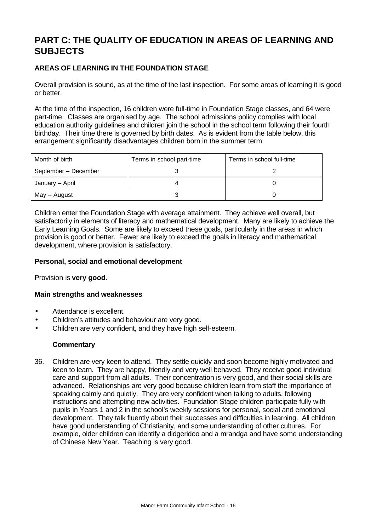# **PART C: THE QUALITY OF EDUCATION IN AREAS OF LEARNING AND SUBJECTS**

# **AREAS OF LEARNING IN THE FOUNDATION STAGE**

Overall provision is sound, as at the time of the last inspection. For some areas of learning it is good or better.

At the time of the inspection, 16 children were full-time in Foundation Stage classes, and 64 were part-time. Classes are organised by age. The school admissions policy complies with local education authority guidelines and children join the school in the school term following their fourth birthday. Their time there is governed by birth dates. As is evident from the table below, this arrangement significantly disadvantages children born in the summer term.

| Month of birth       | Terms in school part-time | Terms in school full-time |
|----------------------|---------------------------|---------------------------|
| September - December |                           |                           |
| January – April      |                           |                           |
| May – August         |                           |                           |

Children enter the Foundation Stage with average attainment. They achieve well overall, but satisfactorily in elements of literacy and mathematical development. Many are likely to achieve the Early Learning Goals. Some are likely to exceed these goals, particularly in the areas in which provision is good or better. Fewer are likely to exceed the goals in literacy and mathematical development, where provision is satisfactory.

# **Personal, social and emotional development**

Provision is **very good**.

# **Main strengths and weaknesses**

- Attendance is excellent.
- Children's attitudes and behaviour are very good.
- Children are very confident, and they have high self-esteem.

# **Commentary**

36. Children are very keen to attend. They settle quickly and soon become highly motivated and keen to learn. They are happy, friendly and very well behaved. They receive good individual care and support from all adults. Their concentration is very good, and their social skills are advanced. Relationships are very good because children learn from staff the importance of speaking calmly and quietly. They are very confident when talking to adults, following instructions and attempting new activities. Foundation Stage children participate fully with pupils in Years 1 and 2 in the school's weekly sessions for personal, social and emotional development. They talk fluently about their successes and difficulties in learning. All children have good understanding of Christianity, and some understanding of other cultures. For example, older children can identify a didgeridoo and a mrandga and have some understanding of Chinese New Year. Teaching is very good.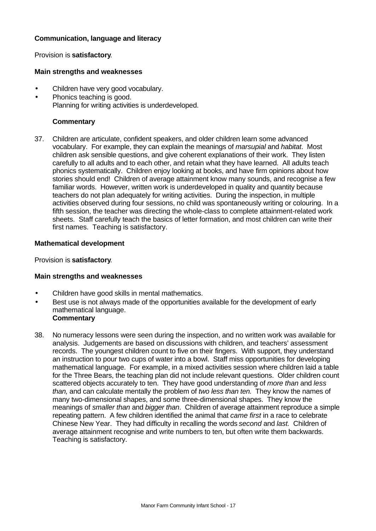# **Communication, language and literacy**

### Provision is **satisfactory**.

#### **Main strengths and weaknesses**

- Children have very good vocabulary.
- Phonics teaching is good. Planning for writing activities is underdeveloped.

### **Commentary**

37. Children are articulate, confident speakers, and older children learn some advanced vocabulary. For example, they can explain the meanings of *marsupial* and *habitat*. Most children ask sensible questions, and give coherent explanations of their work. They listen carefully to all adults and to each other, and retain what they have learned. All adults teach phonics systematically. Children enjoy looking at books, and have firm opinions about how stories should end! Children of average attainment know many sounds, and recognise a few familiar words. However, written work is underdeveloped in quality and quantity because teachers do not plan adequately for writing activities. During the inspection, in multiple activities observed during four sessions, no child was spontaneously writing or colouring. In a fifth session, the teacher was directing the whole-class to complete attainment-related work sheets. Staff carefully teach the basics of letter formation, and most children can write their first names. Teaching is satisfactory.

#### **Mathematical development**

Provision is **satisfactory**.

#### **Main strengths and weaknesses**

- Children have good skills in mental mathematics.
- Best use is not always made of the opportunities available for the development of early mathematical language. **Commentary**
- 38. No numeracy lessons were seen during the inspection, and no written work was available for analysis. Judgements are based on discussions with children, and teachers' assessment records. The youngest children count to five on their fingers. With support, they understand an instruction to pour two cups of water into a bowl. Staff miss opportunities for developing mathematical language. For example, in a mixed activities session where children laid a table for the Three Bears, the teaching plan did not include relevant questions. Older children count scattered objects accurately to ten. They have good understanding of *more than* and *less than,* and can calculate mentally the problem of *two less than ten.* They know the names of many two-dimensional shapes, and some three-dimensional shapes. They know the meanings of *smaller than* and *bigger than*. Children of average attainment reproduce a simple repeating pattern. A few children identified the animal that *came first* in a race to celebrate Chinese New Year. They had difficulty in recalling the words *second* and *last.* Children of average attainment recognise and write numbers to ten, but often write them backwards. Teaching is satisfactory.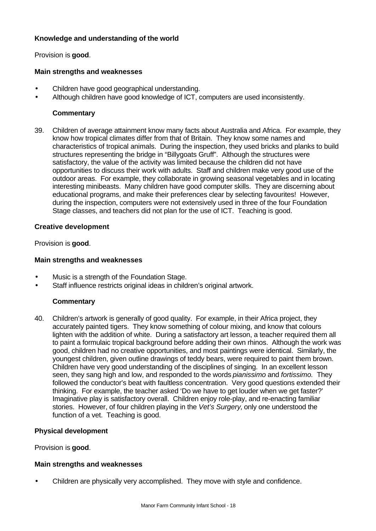# **Knowledge and understanding of the world**

Provision is **good**.

# **Main strengths and weaknesses**

- Children have good geographical understanding.
- Although children have good knowledge of ICT, computers are used inconsistently.

#### **Commentary**

39. Children of average attainment know many facts about Australia and Africa. For example, they know how tropical climates differ from that of Britain. They know some names and characteristics of tropical animals. During the inspection, they used bricks and planks to build structures representing the bridge in "Billygoats Gruff". Although the structures were satisfactory, the value of the activity was limited because the children did not have opportunities to discuss their work with adults. Staff and children make very good use of the outdoor areas. For example, they collaborate in growing seasonal vegetables and in locating interesting minibeasts. Many children have good computer skills. They are discerning about educational programs, and make their preferences clear by selecting favourites! However, during the inspection, computers were not extensively used in three of the four Foundation Stage classes, and teachers did not plan for the use of ICT. Teaching is good.

#### **Creative development**

Provision is **good**.

#### **Main strengths and weaknesses**

- Music is a strength of the Foundation Stage.
- Staff influence restricts original ideas in children's original artwork.

# **Commentary**

40. Children's artwork is generally of good quality. For example, in their Africa project, they accurately painted tigers. They know something of colour mixing, and know that colours lighten with the addition of white. During a satisfactory art lesson, a teacher required them all to paint a formulaic tropical background before adding their own rhinos. Although the work was good, children had no creative opportunities, and most paintings were identical. Similarly, the youngest children, given outline drawings of teddy bears, were required to paint them brown. Children have very good understanding of the disciplines of singing. In an excellent lesson seen, they sang high and low, and responded to the words *pianissimo* and *fortissimo.* They followed the conductor's beat with faultless concentration. Very good questions extended their thinking. For example, the teacher asked 'Do we have to get louder when we get faster?' Imaginative play is satisfactory overall. Children enjoy role-play, and re-enacting familiar stories. However, of four children playing in the *Vet's Surgery,* only one understood the function of a vet. Teaching is good.

# **Physical development**

Provision is **good**.

#### **Main strengths and weaknesses**

• Children are physically very accomplished. They move with style and confidence.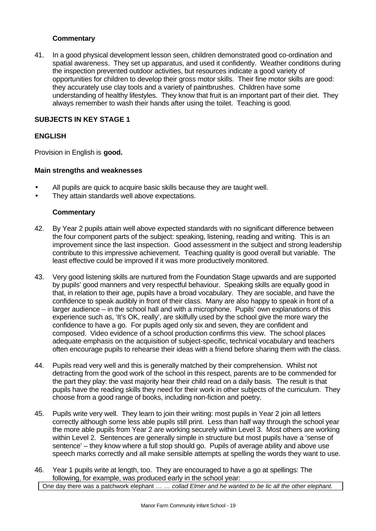# **Commentary**

41. In a good physical development lesson seen, children demonstrated good co-ordination and spatial awareness. They set up apparatus, and used it confidently. Weather conditions during the inspection prevented outdoor activities, but resources indicate a good variety of opportunities for children to develop their gross motor skills. Their fine motor skills are good: they accurately use clay tools and a variety of paintbrushes. Children have some understanding of healthy lifestyles. They know that fruit is an important part of their diet. They always remember to wash their hands after using the toilet. Teaching is good.

# **SUBJECTS IN KEY STAGE 1**

# **ENGLISH**

Provision in English is **good.**

### **Main strengths and weaknesses**

- All pupils are quick to acquire basic skills because they are taught well.
- They attain standards well above expectations.

# **Commentary**

- 42. By Year 2 pupils attain well above expected standards with no significant difference between the four component parts of the subject: speaking, listening, reading and writing. This is an improvement since the last inspection. Good assessment in the subject and strong leadership contribute to this impressive achievement. Teaching quality is good overall but variable. The least effective could be improved if it was more productively monitored.
- 43. Very good listening skills are nurtured from the Foundation Stage upwards and are supported by pupils' good manners and very respectful behaviour. Speaking skills are equally good in that, in relation to their age, pupils have a broad vocabulary. They are sociable, and have the confidence to speak audibly in front of their class. Many are also happy to speak in front of a larger audience – in the school hall and with a microphone. Pupils' own explanations of this experience such as, 'It's OK, really', are skilfully used by the school give the more wary the confidence to have a go. For pupils aged only six and seven, they are confident and composed. Video evidence of a school production confirms this view. The school places adequate emphasis on the acquisition of subject-specific, technical vocabulary and teachers often encourage pupils to rehearse their ideas with a friend before sharing them with the class.
- 44. Pupils read very well and this is generally matched by their comprehension. Whilst not detracting from the good work of the school in this respect, parents are to be commended for the part they play: the vast majority hear their child read on a daily basis. The result is that pupils have the reading skills they need for their work in other subjects of the curriculum. They choose from a good range of books, including non-fiction and poetry.
- 45. Pupils write very well. They learn to join their writing: most pupils in Year 2 join all letters correctly although some less able pupils still print. Less than half way through the school year the more able pupils from Year 2 are working securely within Level 3. Most others are working within Level 2. Sentences are generally simple in structure but most pupils have a 'sense of sentence' – they know where a full stop should go. Pupils of average ability and above use speech marks correctly and all make sensible attempts at spelling the words they want to use.
- 46. Year 1 pupils write at length, too. They are encouraged to have a go at spellings: The following, for example, was produced early in the school year: One day there was a patchwork elephant *… … collad Elmer and he wanted to be lic all the other elephant.*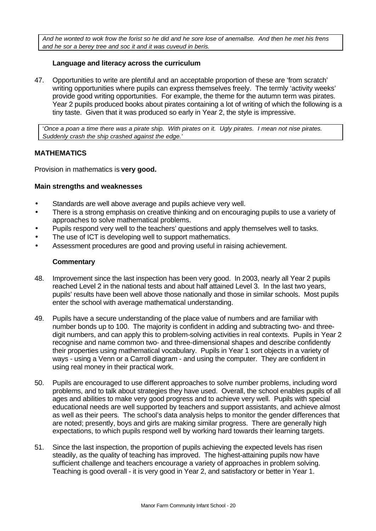*And he wonted to wok frow the forist so he did and he sore lose of anemallse. And then he met his frens and he sor a berey tree and soc it and it was cuveud in beris.*

# **Language and literacy across the curriculum**

47. Opportunities to write are plentiful and an acceptable proportion of these are 'from scratch' writing opportunities where pupils can express themselves freely. The termly 'activity weeks' provide good writing opportunities. For example, the theme for the autumn term was pirates. Year 2 pupils produced books about pirates containing a lot of writing of which the following is a tiny taste. Given that it was produced so early in Year 2, the style is impressive.

'*Once a poan a time there was a pirate ship. With pirates on it. Ugly pirates. I mean not nise pirates. Suddenly crash the ship crashed against the edge.'*

# **MATHEMATICS**

Provision in mathematics is **very good.**

# **Main strengths and weaknesses**

- Standards are well above average and pupils achieve very well.
- There is a strong emphasis on creative thinking and on encouraging pupils to use a variety of approaches to solve mathematical problems.
- Pupils respond very well to the teachers' questions and apply themselves well to tasks.
- The use of ICT is developing well to support mathematics.
- Assessment procedures are good and proving useful in raising achievement.

#### **Commentary**

- 48. Improvement since the last inspection has been very good. In 2003, nearly all Year 2 pupils reached Level 2 in the national tests and about half attained Level 3. In the last two years, pupils' results have been well above those nationally and those in similar schools. Most pupils enter the school with average mathematical understanding.
- 49. Pupils have a secure understanding of the place value of numbers and are familiar with number bonds up to 100. The majority is confident in adding and subtracting two- and threedigit numbers, and can apply this to problem-solving activities in real contexts. Pupils in Year 2 recognise and name common two- and three-dimensional shapes and describe confidently their properties using mathematical vocabulary. Pupils in Year 1 sort objects in a variety of ways - using a Venn or a Carroll diagram - and using the computer. They are confident in using real money in their practical work.
- 50. Pupils are encouraged to use different approaches to solve number problems, including word problems, and to talk about strategies they have used. Overall, the school enables pupils of all ages and abilities to make very good progress and to achieve very well. Pupils with special educational needs are well supported by teachers and support assistants, and achieve almost as well as their peers. The school's data analysis helps to monitor the gender differences that are noted; presently, boys and girls are making similar progress. There are generally high expectations, to which pupils respond well by working hard towards their learning targets.
- 51. Since the last inspection, the proportion of pupils achieving the expected levels has risen steadily, as the quality of teaching has improved. The highest-attaining pupils now have sufficient challenge and teachers encourage a variety of approaches in problem solving. Teaching is good overall - it is very good in Year 2, and satisfactory or better in Year 1.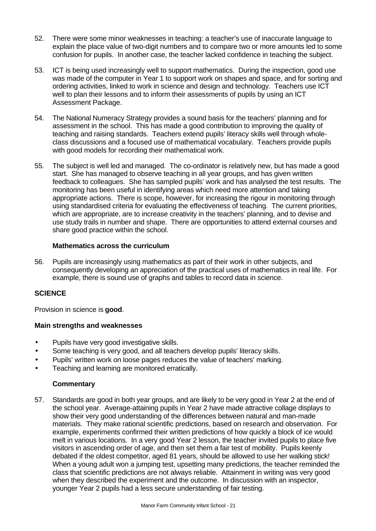- 52. There were some minor weaknesses in teaching: a teacher's use of inaccurate language to explain the place value of two-digit numbers and to compare two or more amounts led to some confusion for pupils. In another case, the teacher lacked confidence in teaching the subject.
- 53. ICT is being used increasingly well to support mathematics. During the inspection, good use was made of the computer in Year 1 to support work on shapes and space, and for sorting and ordering activities, linked to work in science and design and technology. Teachers use ICT well to plan their lessons and to inform their assessments of pupils by using an ICT Assessment Package.
- 54. The National Numeracy Strategy provides a sound basis for the teachers' planning and for assessment in the school. This has made a good contribution to improving the quality of teaching and raising standards. Teachers extend pupils' literacy skills well through wholeclass discussions and a focused use of mathematical vocabulary. Teachers provide pupils with good models for recording their mathematical work.
- 55. The subject is well led and managed. The co-ordinator is relatively new, but has made a good start. She has managed to observe teaching in all year groups, and has given written feedback to colleagues. She has sampled pupils' work and has analysed the test results. The monitoring has been useful in identifying areas which need more attention and taking appropriate actions. There is scope, however, for increasing the rigour in monitoring through using standardised criteria for evaluating the effectiveness of teaching. The current priorities, which are appropriate, are to increase creativity in the teachers' planning, and to devise and use study trails in number and shape. There are opportunities to attend external courses and share good practice within the school.

# **Mathematics across the curriculum**

56. Pupils are increasingly using mathematics as part of their work in other subjects, and consequently developing an appreciation of the practical uses of mathematics in real life. For example, there is sound use of graphs and tables to record data in science.

# **SCIENCE**

Provision in science is **good**.

# **Main strengths and weaknesses**

- Pupils have very good investigative skills.
- Some teaching is very good, and all teachers develop pupils' literacy skills.
- Pupils' written work on loose pages reduces the value of teachers' marking.
- Teaching and learning are monitored erratically.

# **Commentary**

57. Standards are good in both year groups, and are likely to be very good in Year 2 at the end of the school year. Average-attaining pupils in Year 2 have made attractive collage displays to show their very good understanding of the differences between natural and man-made materials. They make rational scientific predictions, based on research and observation. For example, experiments confirmed their written predictions of how quickly a block of ice would melt in various locations. In a very good Year 2 lesson, the teacher invited pupils to place five visitors in ascending order of age, and then set them a fair test of mobility. Pupils keenly debated if the oldest competitor, aged 81 years, should be allowed to use her walking stick! When a young adult won a jumping test, upsetting many predictions, the teacher reminded the class that scientific predictions are not always reliable. Attainment in writing was very good when they described the experiment and the outcome. In discussion with an inspector, younger Year 2 pupils had a less secure understanding of fair testing.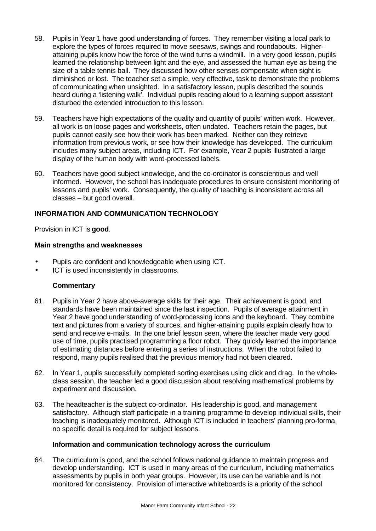- 58. Pupils in Year 1 have good understanding of forces. They remember visiting a local park to explore the types of forces required to move seesaws, swings and roundabouts. Higherattaining pupils know how the force of the wind turns a windmill. In a very good lesson, pupils learned the relationship between light and the eye, and assessed the human eye as being the size of a table tennis ball. They discussed how other senses compensate when sight is diminished or lost. The teacher set a simple, very effective, task to demonstrate the problems of communicating when unsighted. In a satisfactory lesson, pupils described the sounds heard during a 'listening walk'. Individual pupils reading aloud to a learning support assistant disturbed the extended introduction to this lesson.
- 59. Teachers have high expectations of the quality and quantity of pupils' written work. However, all work is on loose pages and worksheets, often undated. Teachers retain the pages, but pupils cannot easily see how their work has been marked. Neither can they retrieve information from previous work, or see how their knowledge has developed. The curriculum includes many subject areas, including ICT. For example, Year 2 pupils illustrated a large display of the human body with word-processed labels.
- 60. Teachers have good subject knowledge, and the co-ordinator is conscientious and well informed. However, the school has inadequate procedures to ensure consistent monitoring of lessons and pupils' work. Consequently, the quality of teaching is inconsistent across all classes – but good overall.

# **INFORMATION AND COMMUNICATION TECHNOLOGY**

Provision in ICT is **good**.

#### **Main strengths and weaknesses**

- Pupils are confident and knowledgeable when using ICT.
- ICT is used inconsistently in classrooms.

#### **Commentary**

- 61. Pupils in Year 2 have above-average skills for their age. Their achievement is good, and standards have been maintained since the last inspection. Pupils of average attainment in Year 2 have good understanding of word-processing icons and the keyboard. They combine text and pictures from a variety of sources, and higher-attaining pupils explain clearly how to send and receive e-mails. In the one brief lesson seen, where the teacher made very good use of time, pupils practised programming a floor robot. They quickly learned the importance of estimating distances before entering a series of instructions. When the robot failed to respond, many pupils realised that the previous memory had not been cleared.
- 62. In Year 1, pupils successfully completed sorting exercises using click and drag. In the wholeclass session, the teacher led a good discussion about resolving mathematical problems by experiment and discussion.
- 63. The headteacher is the subject co-ordinator. His leadership is good, and management satisfactory. Although staff participate in a training programme to develop individual skills, their teaching is inadequately monitored. Although ICT is included in teachers' planning pro-forma, no specific detail is required for subject lessons.

#### **Information and communication technology across the curriculum**

64. The curriculum is good, and the school follows national guidance to maintain progress and develop understanding. ICT is used in many areas of the curriculum, including mathematics assessments by pupils in both year groups. However, its use can be variable and is not monitored for consistency. Provision of interactive whiteboards is a priority of the school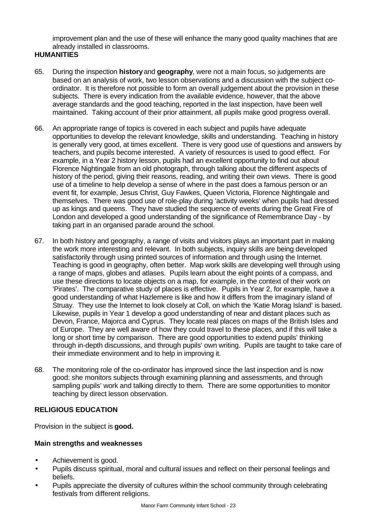improvement plan and the use of these will enhance the many good quality machines that are already installed in classrooms.

# **HUMANITIES**

- 65. During the inspection **history** and **geography**, were not a main focus, so judgements are based on an analysis of work, two lesson observations and a discussion with the subject coordinator. It is therefore not possible to form an overall judgement about the provision in these subjects. There is every indication from the available evidence, however, that the above average standards and the good teaching, reported in the last inspection, have been well maintained. Taking account of their prior attainment, all pupils make good progress overall.
- 66. An appropriate range of topics is covered in each subject and pupils have adequate opportunities to develop the relevant knowledge, skills and understanding. Teaching in history is generally very good, at times excellent. There is very good use of questions and answers by teachers, and pupils become interested. A variety of resources is used to good effect. For example, in a Year 2 history lesson, pupils had an excellent opportunity to find out about Florence Nightingale from an old photograph, through talking about the different aspects of history of the period, giving their reasons, reading, and writing their own views. There is good use of a timeline to help develop a sense of where in the past does a famous person or an event fit, for example, Jesus Christ, Guy Fawkes, Queen Victoria, Florence Nightingale and themselves. There was good use of role-play during 'activity weeks' when pupils had dressed up as kings and queens. They have studied the sequence of events during the Great Fire of London and developed a good understanding of the significance of Remembrance Day - by taking part in an organised parade around the school.
- 67. In both history and geography, a range of visits and visitors plays an important part in making the work more interesting and relevant. In both subjects, inquiry skills are being developed satisfactorily through using printed sources of information and through using the Internet. Teaching is good in geography, often better. Map work skills are developing well through using a range of maps, globes and atlases. Pupils learn about the eight points of a compass, and use these directions to locate objects on a map, for example, in the context of their work on 'Pirates'. The comparative study of places is effective. Pupils in Year 2, for example, have a good understanding of what Hazlemere is like and how it differs from the imaginary island of Struay. They use the Internet to look closely at Coll, on which the 'Katie Morag Island' is based. Likewise, pupils in Year 1 develop a good understanding of near and distant places such as Devon, France, Majorca and Cyprus. They locate real places on maps of the British Isles and of Europe. They are well aware of how they could travel to these places, and if this will take a long or short time by comparison. There are good opportunities to extend pupils' thinking through in-depth discussions, and through pupils' own writing. Pupils are taught to take care of their immediate environment and to help in improving it.
- 68. The monitoring role of the co-ordinator has improved since the last inspection and is now good: she monitors subjects through examining planning and assessments, and through sampling pupils' work and talking directly to them. There are some opportunities to monitor teaching by direct lesson observation.

# **RELIGIOUS EDUCATION**

Provision in the subject is **good.**

# **Main strengths and weaknesses**

- Achievement is good.
- Pupils discuss spiritual, moral and cultural issues and reflect on their personal feelings and beliefs.
- Pupils appreciate the diversity of cultures within the school community through celebrating festivals from different religions.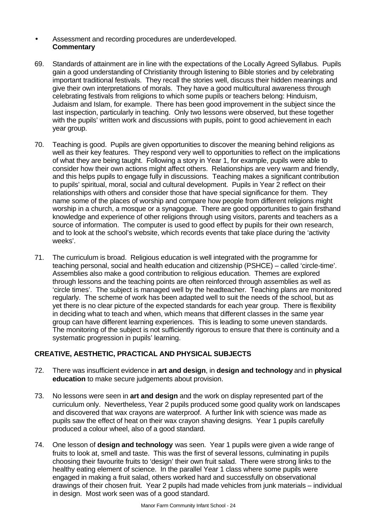# • Assessment and recording procedures are underdeveloped. **Commentary**

- 69. Standards of attainment are in line with the expectations of the Locally Agreed Syllabus. Pupils gain a good understanding of Christianity through listening to Bible stories and by celebrating important traditional festivals. They recall the stories well, discuss their hidden meanings and give their own interpretations of morals. They have a good multicultural awareness through celebrating festivals from religions to which some pupils or teachers belong: Hinduism, Judaism and Islam, for example. There has been good improvement in the subject since the last inspection, particularly in teaching. Only two lessons were observed, but these together with the pupils' written work and discussions with pupils, point to good achievement in each year group.
- 70. Teaching is good. Pupils are given opportunities to discover the meaning behind religions as well as their key features. They respond very well to opportunities to reflect on the implications of what they are being taught. Following a story in Year 1, for example, pupils were able to consider how their own actions might affect others. Relationships are very warm and friendly, and this helps pupils to engage fully in discussions. Teaching makes a significant contribution to pupils' spiritual, moral, social and cultural development. Pupils in Year 2 reflect on their relationships with others and consider those that have special significance for them. They name some of the places of worship and compare how people from different religions might worship in a church, a mosque or a synagogue. There are good opportunities to gain firsthand knowledge and experience of other religions through using visitors, parents and teachers as a source of information. The computer is used to good effect by pupils for their own research, and to look at the school's website, which records events that take place during the 'activity weeks'.
- 71. The curriculum is broad. Religious education is well integrated with the programme for teaching personal, social and health education and citizenship (PSHCE) – called 'circle-time'. Assemblies also make a good contribution to religious education. Themes are explored through lessons and the teaching points are often reinforced through assemblies as well as 'circle times'. The subject is managed well by the headteacher. Teaching plans are monitored regularly. The scheme of work has been adapted well to suit the needs of the school, but as yet there is no clear picture of the expected standards for each year group. There is flexibility in deciding what to teach and when, which means that different classes in the same year group can have different learning experiences. This is leading to some uneven standards. The monitoring of the subject is not sufficiently rigorous to ensure that there is continuity and a systematic progression in pupils' learning.

# **CREATIVE, AESTHETIC, PRACTICAL AND PHYSICAL SUBJECTS**

- 72. There was insufficient evidence in **art and design**, in **design and technology** and in **physical education** to make secure judgements about provision.
- 73. No lessons were seen in **art and design** and the work on display represented part of the curriculum only. Nevertheless, Year 2 pupils produced some good quality work on landscapes and discovered that wax crayons are waterproof. A further link with science was made as pupils saw the effect of heat on their wax crayon shaving designs. Year 1 pupils carefully produced a colour wheel, also of a good standard.
- 74. One lesson of **design and technology** was seen. Year 1 pupils were given a wide range of fruits to look at, smell and taste. This was the first of several lessons, culminating in pupils choosing their favourite fruits to 'design' their own fruit salad. There were strong links to the healthy eating element of science. In the parallel Year 1 class where some pupils were engaged in making a fruit salad, others worked hard and successfully on observational drawings of their chosen fruit. Year 2 pupils had made vehicles from junk materials – individual in design. Most work seen was of a good standard.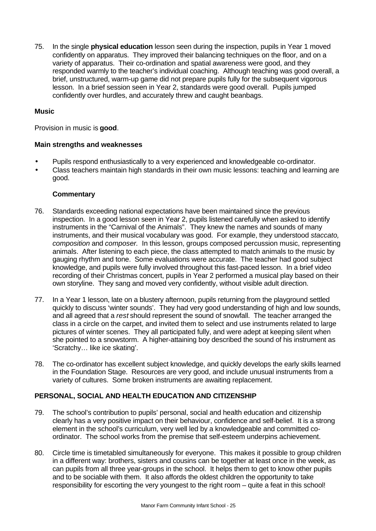75. In the single **physical education** lesson seen during the inspection, pupils in Year 1 moved confidently on apparatus. They improved their balancing techniques on the floor, and on a variety of apparatus. Their co-ordination and spatial awareness were good, and they responded warmly to the teacher's individual coaching. Although teaching was good overall, a brief, unstructured, warm-up game did not prepare pupils fully for the subsequent vigorous lesson. In a brief session seen in Year 2, standards were good overall. Pupils jumped confidently over hurdles, and accurately threw and caught beanbags.

# **Music**

Provision in music is **good**.

# **Main strengths and weaknesses**

- Pupils respond enthusiastically to a very experienced and knowledgeable co-ordinator.
- Class teachers maintain high standards in their own music lessons: teaching and learning are good.

# **Commentary**

- 76. Standards exceeding national expectations have been maintained since the previous inspection. In a good lesson seen in Year 2, pupils listened carefully when asked to identify instruments in the "Carnival of the Animals". They knew the names and sounds of many instruments, and their musical vocabulary was good. For example, they understood *staccato, composition* and *composer.* In this lesson, groups composed percussion music, representing animals. After listening to each piece, the class attempted to match animals to the music by gauging rhythm and tone. Some evaluations were accurate. The teacher had good subject knowledge, and pupils were fully involved throughout this fast-paced lesson. In a brief video recording of their Christmas concert, pupils in Year 2 performed a musical play based on their own storyline. They sang and moved very confidently, without visible adult direction.
- 77. In a Year 1 lesson, late on a blustery afternoon, pupils returning from the playground settled quickly to discuss 'winter sounds'. They had very good understanding of high and low sounds, and all agreed that a *rest* should represent the sound of snowfall. The teacher arranged the class in a circle on the carpet, and invited them to select and use instruments related to large pictures of winter scenes. They all participated fully, and were adept at keeping silent when she pointed to a snowstorm. A higher-attaining boy described the sound of his instrument as 'Scratchy… like ice skating'.
- 78. The co-ordinator has excellent subject knowledge, and quickly develops the early skills learned in the Foundation Stage. Resources are very good, and include unusual instruments from a variety of cultures. Some broken instruments are awaiting replacement.

# **PERSONAL, SOCIAL AND HEALTH EDUCATION AND CITIZENSHIP**

- 79. The school's contribution to pupils' personal, social and health education and citizenship clearly has a very positive impact on their behaviour, confidence and self-belief. It is a strong element in the school's curriculum, very well led by a knowledgeable and committed coordinator. The school works from the premise that self-esteem underpins achievement.
- 80. Circle time is timetabled simultaneously for everyone. This makes it possible to group children in a different way: brothers, sisters and cousins can be together at least once in the week, as can pupils from all three year-groups in the school. It helps them to get to know other pupils and to be sociable with them. It also affords the oldest children the opportunity to take responsibility for escorting the very youngest to the right room – quite a feat in this school!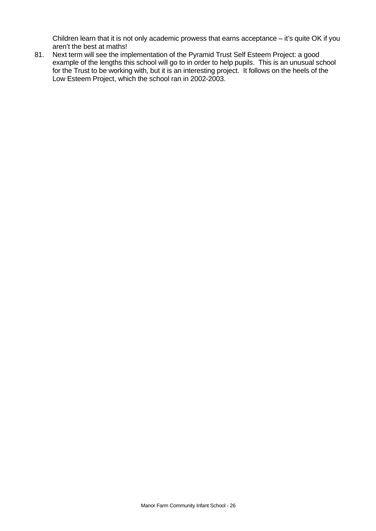Children learn that it is not only academic prowess that earns acceptance – it's quite OK if you aren't the best at maths!

81. Next term will see the implementation of the Pyramid Trust Self Esteem Project: a good example of the lengths this school will go to in order to help pupils. This is an unusual school for the Trust to be working with, but it is an interesting project. It follows on the heels of the Low Esteem Project, which the school ran in 2002-2003.